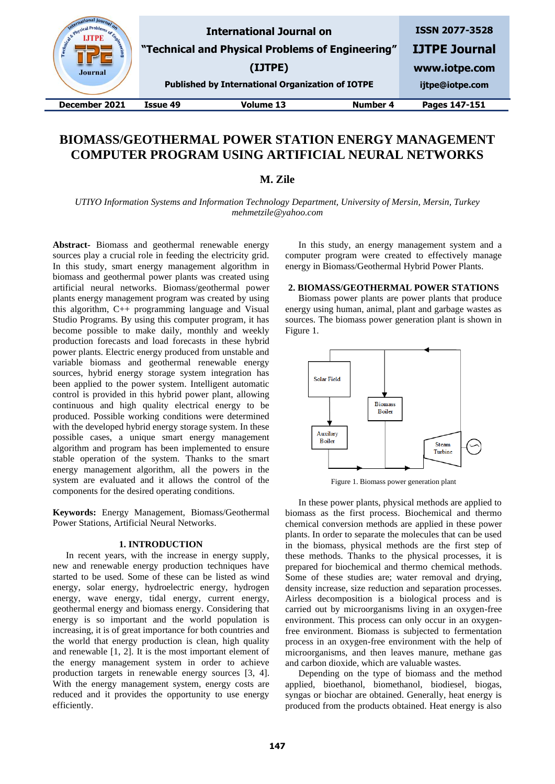| & Physical<br>Enginee<br><b>Journal</b> |          | <b>International Journal on</b><br>"Technical and Physical Problems of Engineering"<br>(IJTPE)<br><b>Published by International Organization of IOTPE</b> |          | <b>ISSN 2077-3528</b><br><b>IJTPE Journal</b><br>www.iotpe.com<br>ijtpe@iotpe.com |
|-----------------------------------------|----------|-----------------------------------------------------------------------------------------------------------------------------------------------------------|----------|-----------------------------------------------------------------------------------|
| December 2021                           | Issue 49 | <b>Volume 13</b>                                                                                                                                          | Number 4 | Pages 147-151                                                                     |

# **BIOMASS/GEOTHERMAL POWER STATION ENERGY MANAGEMENT COMPUTER PROGRAM USING ARTIFICIAL NEURAL NETWORKS**

**M. Zile**

*UTIYO Information Systems and Information Technology Department, University of Mersin, Mersin, Turkey mehmetzile@yahoo.com*

**Abstract-** Biomass and geothermal renewable energy sources play a crucial role in feeding the electricity grid. In this study, smart energy management algorithm in biomass and geothermal power plants was created using artificial neural networks. Biomass/geothermal power plants energy management program was created by using this algorithm, C++ programming language and Visual Studio Programs. By using this computer program, it has become possible to make daily, monthly and weekly production forecasts and load forecasts in these hybrid power plants. Electric energy produced from unstable and variable biomass and geothermal renewable energy sources, hybrid energy storage system integration has been applied to the power system. Intelligent automatic control is provided in this hybrid power plant, allowing continuous and high quality electrical energy to be produced. Possible working conditions were determined with the developed hybrid energy storage system. In these possible cases, a unique smart energy management algorithm and program has been implemented to ensure stable operation of the system. Thanks to the smart energy management algorithm, all the powers in the system are evaluated and it allows the control of the components for the desired operating conditions.

**Keywords:** Energy Management, Biomass/Geothermal Power Stations, Artificial Neural Networks.

### **1. INTRODUCTION**

In recent years, with the increase in energy supply, new and renewable energy production techniques have started to be used. Some of these can be listed as wind energy, solar energy, hydroelectric energy, hydrogen energy, wave energy, tidal energy, current energy, geothermal energy and biomass energy. Considering that energy is so important and the world population is increasing, it is of great importance for both countries and the world that energy production is clean, high quality and renewable [1, 2]. It is the most important element of the energy management system in order to achieve production targets in renewable energy sources [3, 4]. With the energy management system, energy costs are reduced and it provides the opportunity to use energy efficiently.

In this study, an energy management system and a computer program were created to effectively manage energy in Biomass/Geothermal Hybrid Power Plants.

#### **2. BIOMASS/GEOTHERMAL POWER STATIONS**

Biomass power plants are power plants that produce energy using human, animal, plant and garbage wastes as sources. The biomass power generation plant is shown in Figure 1.



Figure 1. Biomass power generation plant

In these power plants, physical methods are applied to biomass as the first process. Biochemical and thermo chemical conversion methods are applied in these power plants. In order to separate the molecules that can be used in the biomass, physical methods are the first step of these methods. Thanks to the physical processes, it is prepared for biochemical and thermo chemical methods. Some of these studies are; water removal and drying, density increase, size reduction and separation processes. Airless decomposition is a biological process and is carried out by microorganisms living in an oxygen-free environment. This process can only occur in an oxygenfree environment. Biomass is subjected to fermentation process in an oxygen-free environment with the help of microorganisms, and then leaves manure, methane gas and carbon dioxide, which are valuable wastes.

Depending on the type of biomass and the method applied, bioethanol, biomethanol, biodiesel, biogas, syngas or biochar are obtained. Generally, heat energy is produced from the products obtained. Heat energy is also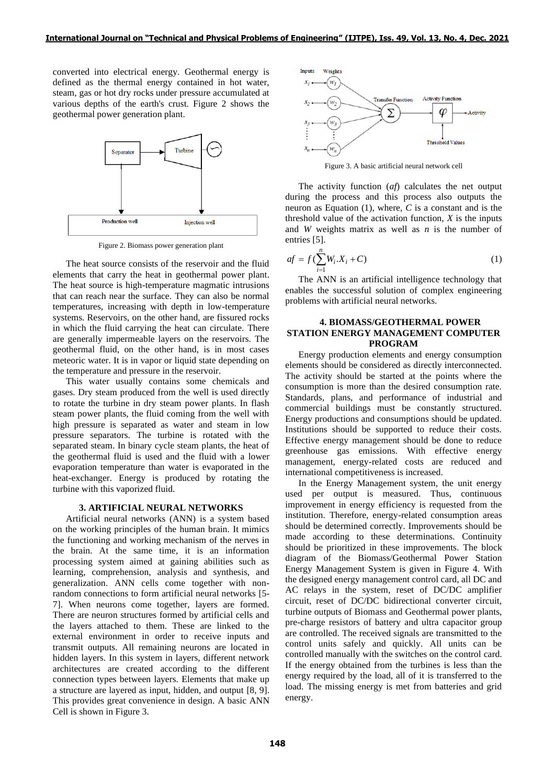converted into electrical energy. Geothermal energy is defined as the thermal energy contained in hot water, steam, gas or hot dry rocks under pressure accumulated at various depths of the earth's crust. Figure 2 shows the geothermal power generation plant.



Figure 2. Biomass power generation plant

The heat source consists of the reservoir and the fluid elements that carry the heat in geothermal power plant. The heat source is high-temperature magmatic intrusions that can reach near the surface. They can also be normal temperatures, increasing with depth in low-temperature systems. Reservoirs, on the other hand, are fissured rocks in which the fluid carrying the heat can circulate. There are generally impermeable layers on the reservoirs. The geothermal fluid, on the other hand, is in most cases meteoric water. It is in vapor or liquid state depending on the temperature and pressure in the reservoir.

This water usually contains some chemicals and gases. Dry steam produced from the well is used directly to rotate the turbine in dry steam power plants. In flash steam power plants, the fluid coming from the well with high pressure is separated as water and steam in low pressure separators. The turbine is rotated with the separated steam. In binary cycle steam plants, the heat of the geothermal fluid is used and the fluid with a lower evaporation temperature than water is evaporated in the heat-exchanger. Energy is produced by rotating the turbine with this vaporized fluid.

# **3. ARTIFICIAL NEURAL NETWORKS**

Artificial neural networks (ANN) is a system based on the working principles of the human brain. It mimics the functioning and working mechanism of the nerves in the brain. At the same time, it is an information processing system aimed at gaining abilities such as learning, comprehension, analysis and synthesis, and generalization. ANN cells come together with nonrandom connections to form artificial neural networks [5- 7]. When neurons come together, layers are formed. There are neuron structures formed by artificial cells and the layers attached to them. These are linked to the external environment in order to receive inputs and transmit outputs. All remaining neurons are located in hidden layers. In this system in layers, different network architectures are created according to the different connection types between layers. Elements that make up a structure are layered as input, hidden, and output [8, 9]. This provides great convenience in design. A basic ANN Cell is shown in Figure 3.



Figure 3. A basic artificial neural network cell

The activity function (*af*) calculates the net output during the process and this process also outputs the neuron as Equation (1), where, *C* is a constant and is the threshold value of the activation function, *X* is the inputs and *W* weights matrix as well as *n* is the number of entries [5].

$$
af = f\left(\sum_{i=1}^{n} W_i \cdot X_i + C\right) \tag{1}
$$

The ANN is an artificial intelligence technology that enables the successful solution of complex engineering problems with artificial neural networks.

# **4. BIOMASS/GEOTHERMAL POWER STATION ENERGY MANAGEMENT COMPUTER PROGRAM**

Energy production elements and energy consumption elements should be considered as directly interconnected. The activity should be started at the points where the consumption is more than the desired consumption rate. Standards, plans, and performance of industrial and commercial buildings must be constantly structured. Energy productions and consumptions should be updated. Institutions should be supported to reduce their costs. Effective energy management should be done to reduce greenhouse gas emissions. With effective energy management, energy-related costs are reduced and international competitiveness is increased.

In the Energy Management system, the unit energy used per output is measured. Thus, continuous improvement in energy efficiency is requested from the institution. Therefore, energy-related consumption areas should be determined correctly. Improvements should be made according to these determinations. Continuity should be prioritized in these improvements. The block diagram of the Biomass/Geothermal Power Station Energy Management System is given in Figure 4. With the designed energy management control card, all DC and AC relays in the system, reset of DC/DC amplifier circuit, reset of DC/DC bidirectional converter circuit, turbine outputs of Biomass and Geothermal power plants, pre-charge resistors of battery and ultra capacitor group are controlled. The received signals are transmitted to the control units safely and quickly. All units can be controlled manually with the switches on the control card. If the energy obtained from the turbines is less than the energy required by the load, all of it is transferred to the load. The missing energy is met from batteries and grid energy.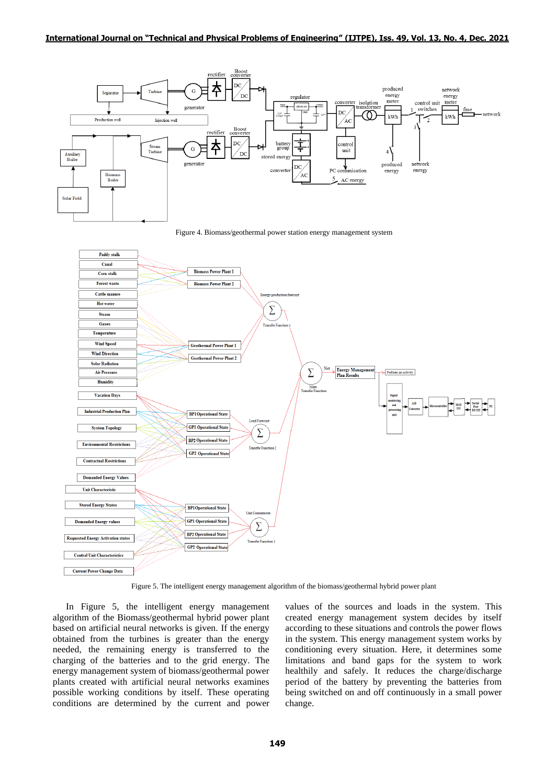

Figure 4. Biomass/geothermal power station energy management system



Figure 5. The intelligent energy management algorithm of the biomass/geothermal hybrid power plant

In Figure 5, the intelligent energy management algorithm of the Biomass/geothermal hybrid power plant based on artificial neural networks is given. If the energy obtained from the turbines is greater than the energy needed, the remaining energy is transferred to the charging of the batteries and to the grid energy. The energy management system of biomass/geothermal power plants created with artificial neural networks examines possible working conditions by itself. These operating conditions are determined by the current and power values of the sources and loads in the system. This created energy management system decides by itself according to these situations and controls the power flows in the system. This energy management system works by conditioning every situation. Here, it determines some limitations and band gaps for the system to work healthily and safely. It reduces the charge/discharge period of the battery by preventing the batteries from being switched on and off continuously in a small power change.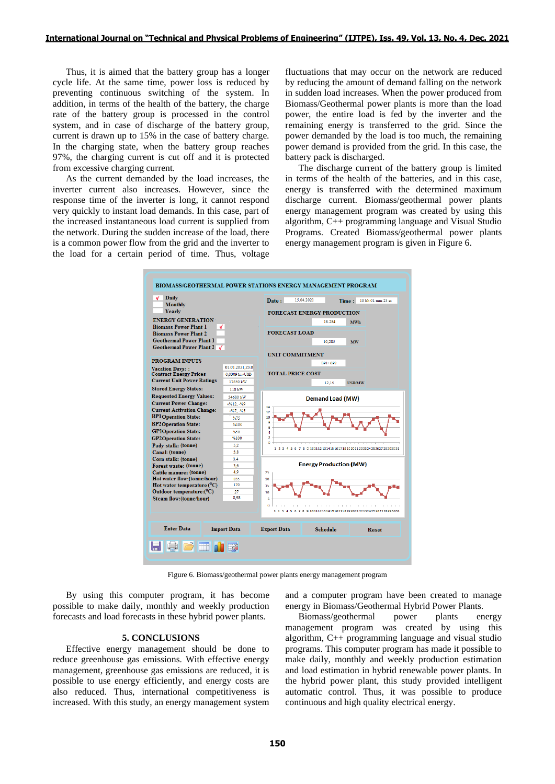Thus, it is aimed that the battery group has a longer cycle life. At the same time, power loss is reduced by preventing continuous switching of the system. In addition, in terms of the health of the battery, the charge rate of the battery group is processed in the control system, and in case of discharge of the battery group, current is drawn up to 15% in the case of battery charge. In the charging state, when the battery group reaches 97%, the charging current is cut off and it is protected from excessive charging current.

As the current demanded by the load increases, the inverter current also increases. However, since the response time of the inverter is long, it cannot respond very quickly to instant load demands. In this case, part of the increased instantaneous load current is supplied from the network. During the sudden increase of the load, there is a common power flow from the grid and the inverter to the load for a certain period of time. Thus, voltage

fluctuations that may occur on the network are reduced by reducing the amount of demand falling on the network in sudden load increases. When the power produced from Biomass/Geothermal power plants is more than the load power, the entire load is fed by the inverter and the remaining energy is transferred to the grid. Since the power demanded by the load is too much, the remaining power demand is provided from the grid. In this case, the battery pack is discharged.

The discharge current of the battery group is limited in terms of the health of the batteries, and in this case, energy is transferred with the determined maximum discharge current. Biomass/geothermal power plants energy management program was created by using this algorithm, C++ programming language and Visual Studio Programs. Created Biomass/geothermal power plants energy management program is given in Figure 6.



Figure 6. Biomass/geothermal power plants energy management program

By using this computer program, it has become possible to make daily, monthly and weekly production forecasts and load forecasts in these hybrid power plants.

# **5. CONCLUSIONS**

Effective energy management should be done to reduce greenhouse gas emissions. With effective energy management, greenhouse gas emissions are reduced, it is possible to use energy efficiently, and energy costs are also reduced. Thus, international competitiveness is increased. With this study, an energy management system

and a computer program have been created to manage energy in Biomass/Geothermal Hybrid Power Plants.

Biomass/geothermal power plants energy management program was created by using this algorithm, C++ programming language and visual studio programs. This computer program has made it possible to make daily, monthly and weekly production estimation and load estimation in hybrid renewable power plants. In the hybrid power plant, this study provided intelligent automatic control. Thus, it was possible to produce continuous and high quality electrical energy.